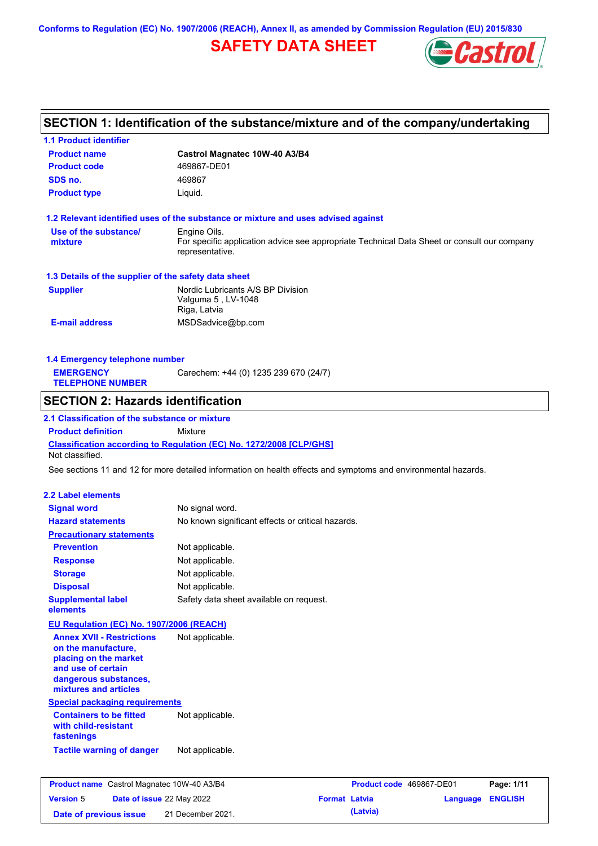**Conforms to Regulation (EC) No. 1907/2006 (REACH), Annex II, as amended by Commission Regulation (EU) 2015/830**

## **SAFETY DATA SHEET**



# **SECTION 1: Identification of the substance/mixture and of the company/undertaking**

| <b>1.1 Product identifier</b>                                                    |                                                                                                                |                      |                          |                  |
|----------------------------------------------------------------------------------|----------------------------------------------------------------------------------------------------------------|----------------------|--------------------------|------------------|
| <b>Product name</b>                                                              | Castrol Magnatec 10W-40 A3/B4                                                                                  |                      |                          |                  |
| <b>Product code</b>                                                              | 469867-DE01                                                                                                    |                      |                          |                  |
| SDS no.                                                                          | 469867                                                                                                         |                      |                          |                  |
| <b>Product type</b>                                                              | Liquid.                                                                                                        |                      |                          |                  |
|                                                                                  | 1.2 Relevant identified uses of the substance or mixture and uses advised against                              |                      |                          |                  |
| Use of the substance/                                                            | Engine Oils.                                                                                                   |                      |                          |                  |
| mixture                                                                          | For specific application advice see appropriate Technical Data Sheet or consult our company<br>representative. |                      |                          |                  |
| 1.3 Details of the supplier of the safety data sheet                             |                                                                                                                |                      |                          |                  |
| <b>Supplier</b>                                                                  | Nordic Lubricants A/S BP Division<br>Valguma 5, LV-1048<br>Riga, Latvia                                        |                      |                          |                  |
| <b>E-mail address</b>                                                            | MSDSadvice@bp.com                                                                                              |                      |                          |                  |
|                                                                                  |                                                                                                                |                      |                          |                  |
| 1.4 Emergency telephone number                                                   |                                                                                                                |                      |                          |                  |
| <b>EMERGENCY</b><br><b>TELEPHONE NUMBER</b>                                      | Carechem: +44 (0) 1235 239 670 (24/7)                                                                          |                      |                          |                  |
| <b>SECTION 2: Hazards identification</b>                                         |                                                                                                                |                      |                          |                  |
| 2.1 Classification of the substance or mixture                                   |                                                                                                                |                      |                          |                  |
| <b>Product definition</b>                                                        | <b>Mixture</b>                                                                                                 |                      |                          |                  |
| Not classified.                                                                  | Classification according to Regulation (EC) No. 1272/2008 [CLP/GHS]                                            |                      |                          |                  |
|                                                                                  | See sections 11 and 12 for more detailed information on health effects and symptoms and environmental hazards. |                      |                          |                  |
|                                                                                  |                                                                                                                |                      |                          |                  |
| <b>2.2 Label elements</b>                                                        |                                                                                                                |                      |                          |                  |
| <b>Signal word</b>                                                               | No signal word.                                                                                                |                      |                          |                  |
| <b>Hazard statements</b>                                                         | No known significant effects or critical hazards.                                                              |                      |                          |                  |
| <b>Precautionary statements</b>                                                  |                                                                                                                |                      |                          |                  |
| <b>Prevention</b>                                                                | Not applicable.                                                                                                |                      |                          |                  |
| <b>Response</b>                                                                  | Not applicable.                                                                                                |                      |                          |                  |
| <b>Storage</b>                                                                   | Not applicable.                                                                                                |                      |                          |                  |
| <b>Disposal</b>                                                                  | Not applicable.                                                                                                |                      |                          |                  |
| <b>Supplemental label</b><br>elements                                            | Safety data sheet available on request.                                                                        |                      |                          |                  |
| EU Regulation (EC) No. 1907/2006 (REACH)                                         |                                                                                                                |                      |                          |                  |
| <b>Annex XVII - Restrictions</b><br>on the manufacture.<br>placing on the market | Not applicable.                                                                                                |                      |                          |                  |
| and use of certain<br>dangerous substances,<br>mixtures and articles             |                                                                                                                |                      |                          |                  |
| <b>Special packaging requirements</b>                                            |                                                                                                                |                      |                          |                  |
| <b>Containers to be fitted</b><br>with child-resistant<br>fastenings             | Not applicable.                                                                                                |                      |                          |                  |
| <b>Tactile warning of danger</b>                                                 | Not applicable.                                                                                                |                      |                          |                  |
| <b>Product name</b> Castrol Magnatec 10W-40 A3/B4                                |                                                                                                                |                      | Product code 469867-DE01 | Page: 1/11       |
| <b>Version 5</b><br>Date of issue 22 May 2022                                    |                                                                                                                | <b>Format Latvia</b> |                          | Language ENGLISH |

**Date of previous issue (Latvia)** 21 December 2021.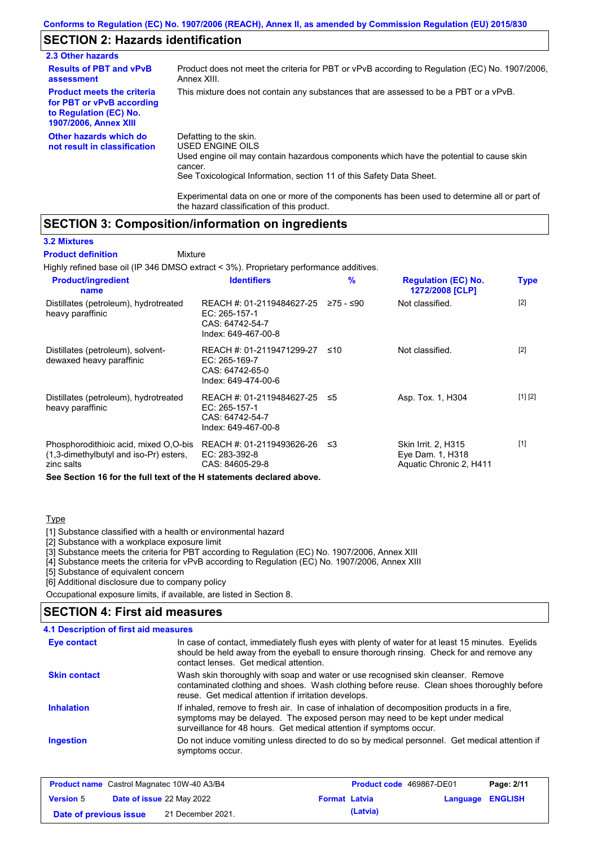### **SECTION 2: Hazards identification**

| 2.3 Other hazards                                                                                                        |                                                                                                                                                                                                                          |
|--------------------------------------------------------------------------------------------------------------------------|--------------------------------------------------------------------------------------------------------------------------------------------------------------------------------------------------------------------------|
| <b>Results of PBT and vPvB</b><br>assessment                                                                             | Product does not meet the criteria for PBT or vPvB according to Regulation (EC) No. 1907/2006,<br>Annex XIII.                                                                                                            |
| <b>Product meets the criteria</b><br>for PBT or vPvB according<br>to Regulation (EC) No.<br><b>1907/2006, Annex XIII</b> | This mixture does not contain any substances that are assessed to be a PBT or a vPvB.                                                                                                                                    |
| Other hazards which do<br>not result in classification                                                                   | Defatting to the skin.<br>USED ENGINE OILS<br>Used engine oil may contain hazardous components which have the potential to cause skin<br>cancer.<br>See Toxicological Information, section 11 of this Safety Data Sheet. |

Experimental data on one or more of the components has been used to determine all or part of the hazard classification of this product.

#### **SECTION 3: Composition/information on ingredients**

Mixture

#### **3.2 Mixtures**

**Product definition**

Highly refined base oil (IP 346 DMSO extract < 3%). Proprietary performance additives.

| <b>Product/ingredient</b><br>name                                                             | <b>Identifiers</b>                                                                   | %         | <b>Regulation (EC) No.</b><br>1272/2008 [CLP]                      | <b>Type</b> |
|-----------------------------------------------------------------------------------------------|--------------------------------------------------------------------------------------|-----------|--------------------------------------------------------------------|-------------|
| Distillates (petroleum), hydrotreated<br>heavy paraffinic                                     | REACH #: 01-2119484627-25<br>EC: 265-157-1<br>CAS: 64742-54-7<br>Index: 649-467-00-8 | ≥75 - ≤90 | Not classified.                                                    | $[2]$       |
| Distillates (petroleum), solvent-<br>dewaxed heavy paraffinic                                 | REACH #: 01-2119471299-27<br>EC: 265-169-7<br>CAS: 64742-65-0<br>Index: 649-474-00-6 | ≤10       | Not classified.                                                    | $[2]$       |
| Distillates (petroleum), hydrotreated<br>heavy paraffinic                                     | REACH #: 01-2119484627-25<br>EC: 265-157-1<br>CAS: 64742-54-7<br>Index: 649-467-00-8 | ≤5        | Asp. Tox. 1, H304                                                  | [1] [2]     |
| Phosphorodithioic acid, mixed O,O-bis<br>(1,3-dimethylbutyl and iso-Pr) esters,<br>zinc salts | REACH #: 01-2119493626-26<br>EC: 283-392-8<br>CAS: 84605-29-8                        | ב≥        | Skin Irrit. 2, H315<br>Eye Dam. 1, H318<br>Aquatic Chronic 2, H411 | [1]         |
| See Section 16 for the full text of the H statements declared above.                          |                                                                                      |           |                                                                    |             |

#### Type

[1] Substance classified with a health or environmental hazard

[2] Substance with a workplace exposure limit

[3] Substance meets the criteria for PBT according to Regulation (EC) No. 1907/2006, Annex XIII

[4] Substance meets the criteria for vPvB according to Regulation (EC) No. 1907/2006, Annex XIII

[5] Substance of equivalent concern

[6] Additional disclosure due to company policy

Occupational exposure limits, if available, are listed in Section 8.

#### Do not induce vomiting unless directed to do so by medical personnel. Get medical attention if symptoms occur. In case of contact, immediately flush eyes with plenty of water for at least 15 minutes. Eyelids should be held away from the eyeball to ensure thorough rinsing. Check for and remove any contact lenses. Get medical attention. **4.1 Description of first aid measures** If inhaled, remove to fresh air. In case of inhalation of decomposition products in a fire, symptoms may be delayed. The exposed person may need to be kept under medical surveillance for 48 hours. Get medical attention if symptoms occur. **Ingestion Inhalation Eye contact SECTION 4: First aid measures Skin contact** Wash skin thoroughly with soap and water or use recognised skin cleanser. Remove contaminated clothing and shoes. Wash clothing before reuse. Clean shoes thoroughly before reuse. Get medical attention if irritation develops.

| <b>Product name</b> Castrol Magnatec 10W-40 A3/B4 |                                  | <b>Product code</b> 469867-DE01 |                      | Page: 2/11 |                         |  |
|---------------------------------------------------|----------------------------------|---------------------------------|----------------------|------------|-------------------------|--|
| <b>Version 5</b>                                  | <b>Date of issue 22 May 2022</b> |                                 | <b>Format Latvia</b> |            | <b>Language ENGLISH</b> |  |
| Date of previous issue                            |                                  | 21 December 2021.               |                      | (Latvia)   |                         |  |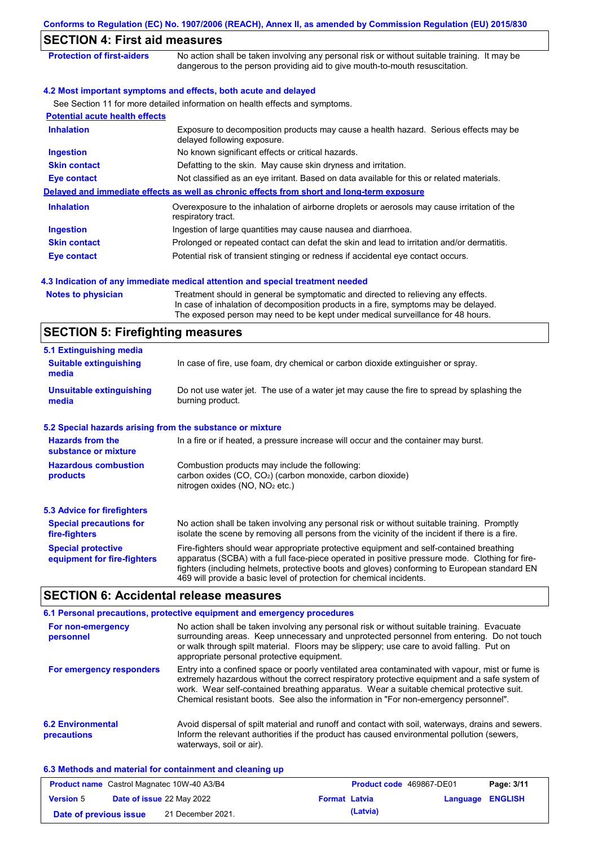|                                                           | Conforms to Regulation (EC) No. 1907/2006 (REACH), Annex II, as amended by Commission Regulation (EU) 2015/830                                                                                                                                                                                                                                                    |
|-----------------------------------------------------------|-------------------------------------------------------------------------------------------------------------------------------------------------------------------------------------------------------------------------------------------------------------------------------------------------------------------------------------------------------------------|
| <b>SECTION 4: First aid measures</b>                      |                                                                                                                                                                                                                                                                                                                                                                   |
| <b>Protection of first-aiders</b>                         | No action shall be taken involving any personal risk or without suitable training. It may be<br>dangerous to the person providing aid to give mouth-to-mouth resuscitation.                                                                                                                                                                                       |
|                                                           | 4.2 Most important symptoms and effects, both acute and delayed                                                                                                                                                                                                                                                                                                   |
|                                                           | See Section 11 for more detailed information on health effects and symptoms.                                                                                                                                                                                                                                                                                      |
| <b>Potential acute health effects</b>                     |                                                                                                                                                                                                                                                                                                                                                                   |
| <b>Inhalation</b>                                         | Exposure to decomposition products may cause a health hazard. Serious effects may be<br>delayed following exposure.                                                                                                                                                                                                                                               |
| <b>Ingestion</b>                                          | No known significant effects or critical hazards.                                                                                                                                                                                                                                                                                                                 |
| <b>Skin contact</b>                                       | Defatting to the skin. May cause skin dryness and irritation.                                                                                                                                                                                                                                                                                                     |
| <b>Eye contact</b>                                        | Not classified as an eye irritant. Based on data available for this or related materials.                                                                                                                                                                                                                                                                         |
|                                                           | Delayed and immediate effects as well as chronic effects from short and long-term exposure                                                                                                                                                                                                                                                                        |
| <b>Inhalation</b>                                         | Overexposure to the inhalation of airborne droplets or aerosols may cause irritation of the<br>respiratory tract.                                                                                                                                                                                                                                                 |
| <b>Ingestion</b>                                          | Ingestion of large quantities may cause nausea and diarrhoea.                                                                                                                                                                                                                                                                                                     |
| <b>Skin contact</b>                                       | Prolonged or repeated contact can defat the skin and lead to irritation and/or dermatitis.                                                                                                                                                                                                                                                                        |
| <b>Eye contact</b>                                        | Potential risk of transient stinging or redness if accidental eye contact occurs.                                                                                                                                                                                                                                                                                 |
|                                                           |                                                                                                                                                                                                                                                                                                                                                                   |
|                                                           | 4.3 Indication of any immediate medical attention and special treatment needed                                                                                                                                                                                                                                                                                    |
| <b>Notes to physician</b>                                 | Treatment should in general be symptomatic and directed to relieving any effects.<br>In case of inhalation of decomposition products in a fire, symptoms may be delayed.<br>The exposed person may need to be kept under medical surveillance for 48 hours.                                                                                                       |
| <b>SECTION 5: Firefighting measures</b>                   |                                                                                                                                                                                                                                                                                                                                                                   |
| 5.1 Extinguishing media                                   |                                                                                                                                                                                                                                                                                                                                                                   |
| <b>Suitable extinguishing</b><br>media                    | In case of fire, use foam, dry chemical or carbon dioxide extinguisher or spray.                                                                                                                                                                                                                                                                                  |
| <b>Unsuitable extinguishing</b><br>media                  | Do not use water jet. The use of a water jet may cause the fire to spread by splashing the<br>burning product.                                                                                                                                                                                                                                                    |
| 5.2 Special hazards arising from the substance or mixture |                                                                                                                                                                                                                                                                                                                                                                   |
| <b>Hazards from the</b><br>substance or mixture           | In a fire or if heated, a pressure increase will occur and the container may burst.                                                                                                                                                                                                                                                                               |
| <b>Hazardous combustion</b><br>products                   | Combustion products may include the following:<br>carbon oxides (CO, CO <sub>2</sub> ) (carbon monoxide, carbon dioxide)<br>nitrogen oxides (NO, NO <sub>2</sub> etc.)                                                                                                                                                                                            |
| <b>5.3 Advice for firefighters</b>                        |                                                                                                                                                                                                                                                                                                                                                                   |
| <b>Special precautions for</b><br>fire-fighters           | No action shall be taken involving any personal risk or without suitable training. Promptly<br>isolate the scene by removing all persons from the vicinity of the incident if there is a fire.                                                                                                                                                                    |
| <b>Special protective</b><br>equipment for fire-fighters  | Fire-fighters should wear appropriate protective equipment and self-contained breathing<br>apparatus (SCBA) with a full face-piece operated in positive pressure mode. Clothing for fire-<br>fighters (including helmets, protective boots and gloves) conforming to European standard EN<br>469 will provide a basic level of protection for chemical incidents. |

## **SECTION 6: Accidental release measures**

|                                         | 6.1 Personal precautions, protective equipment and emergency procedures                                                                                                                                                                                                                                                                                                              |
|-----------------------------------------|--------------------------------------------------------------------------------------------------------------------------------------------------------------------------------------------------------------------------------------------------------------------------------------------------------------------------------------------------------------------------------------|
| For non-emergency<br>personnel          | No action shall be taken involving any personal risk or without suitable training. Evacuate<br>surrounding areas. Keep unnecessary and unprotected personnel from entering. Do not touch<br>or walk through spilt material. Floors may be slippery; use care to avoid falling. Put on<br>appropriate personal protective equipment.                                                  |
| For emergency responders                | Entry into a confined space or poorly ventilated area contaminated with vapour, mist or fume is<br>extremely hazardous without the correct respiratory protective equipment and a safe system of<br>work. Wear self-contained breathing apparatus. Wear a suitable chemical protective suit.<br>Chemical resistant boots. See also the information in "For non-emergency personnel". |
| <b>6.2 Environmental</b><br>precautions | Avoid dispersal of spilt material and runoff and contact with soil, waterways, drains and sewers.<br>Inform the relevant authorities if the product has caused environmental pollution (sewers,<br>waterways, soil or air).                                                                                                                                                          |

### **6.3 Methods and material for containment and cleaning up**

| <b>Product name</b> Castrol Magnatec 10W-40 A3/B4 |                                  | <b>Product code</b> 469867-DE01 |                      | Page: 3/11 |                         |  |
|---------------------------------------------------|----------------------------------|---------------------------------|----------------------|------------|-------------------------|--|
| <b>Version 5</b>                                  | <b>Date of issue 22 May 2022</b> |                                 | <b>Format Latvia</b> |            | <b>Language ENGLISH</b> |  |
| Date of previous issue                            |                                  | 21 December 2021.               |                      | (Latvia)   |                         |  |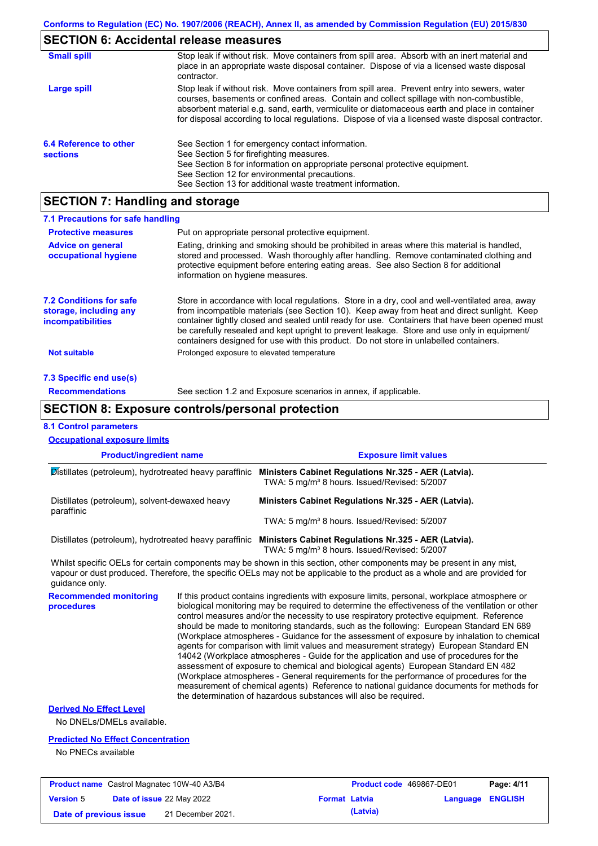# **SECTION 6: Accidental release measures**

| <b>Small spill</b>                        | Stop leak if without risk. Move containers from spill area. Absorb with an inert material and<br>place in an appropriate waste disposal container. Dispose of via a licensed waste disposal<br>contractor.                                                                                                                                                                                     |
|-------------------------------------------|------------------------------------------------------------------------------------------------------------------------------------------------------------------------------------------------------------------------------------------------------------------------------------------------------------------------------------------------------------------------------------------------|
| Large spill                               | Stop leak if without risk. Move containers from spill area. Prevent entry into sewers, water<br>courses, basements or confined areas. Contain and collect spillage with non-combustible,<br>absorbent material e.g. sand, earth, vermiculite or diatomaceous earth and place in container<br>for disposal according to local regulations. Dispose of via a licensed waste disposal contractor. |
| 6.4 Reference to other<br><b>sections</b> | See Section 1 for emergency contact information.<br>See Section 5 for firefighting measures.<br>See Section 8 for information on appropriate personal protective equipment.<br>See Section 12 for environmental precautions.<br>See Section 13 for additional waste treatment information.                                                                                                     |

# **SECTION 7: Handling and storage**

| 7.1 Precautions for safe handling                                                    |                                                                                                                                                                                                                                                                                                                                                                                                                                                                                          |
|--------------------------------------------------------------------------------------|------------------------------------------------------------------------------------------------------------------------------------------------------------------------------------------------------------------------------------------------------------------------------------------------------------------------------------------------------------------------------------------------------------------------------------------------------------------------------------------|
| <b>Protective measures</b>                                                           | Put on appropriate personal protective equipment.                                                                                                                                                                                                                                                                                                                                                                                                                                        |
| <b>Advice on general</b><br>occupational hygiene                                     | Eating, drinking and smoking should be prohibited in areas where this material is handled,<br>stored and processed. Wash thoroughly after handling. Remove contaminated clothing and<br>protective equipment before entering eating areas. See also Section 8 for additional<br>information on hygiene measures.                                                                                                                                                                         |
| <b>7.2 Conditions for safe</b><br>storage, including any<br><i>incompatibilities</i> | Store in accordance with local requlations. Store in a dry, cool and well-ventilated area, away<br>from incompatible materials (see Section 10). Keep away from heat and direct sunlight. Keep<br>container tightly closed and sealed until ready for use. Containers that have been opened must<br>be carefully resealed and kept upright to prevent leakage. Store and use only in equipment/<br>containers designed for use with this product. Do not store in unlabelled containers. |
| Not suitable                                                                         | Prolonged exposure to elevated temperature                                                                                                                                                                                                                                                                                                                                                                                                                                               |
| 7.3 Specific end use(s)                                                              |                                                                                                                                                                                                                                                                                                                                                                                                                                                                                          |
| <b>Recommendations</b>                                                               | See section 1.2 and Exposure scenarios in annex, if applicable.                                                                                                                                                                                                                                                                                                                                                                                                                          |

## **SECTION 8: Exposure controls/personal protection**

#### **8.1 Control parameters**

| <b>Product/ingredient name</b><br>Distillates (petroleum), hydrotreated heavy paraffinic |  | <b>Exposure limit values</b><br>Ministers Cabinet Regulations Nr.325 - AER (Latvia).<br>TWA: 5 mg/m <sup>3</sup> 8 hours. Issued/Revised: 5/2007                                                                                                                                                                                                                                                                                                                                                                                                                                                                                                                                                                                                                                                                                                                                                                                                                                                                           |  |  |
|------------------------------------------------------------------------------------------|--|----------------------------------------------------------------------------------------------------------------------------------------------------------------------------------------------------------------------------------------------------------------------------------------------------------------------------------------------------------------------------------------------------------------------------------------------------------------------------------------------------------------------------------------------------------------------------------------------------------------------------------------------------------------------------------------------------------------------------------------------------------------------------------------------------------------------------------------------------------------------------------------------------------------------------------------------------------------------------------------------------------------------------|--|--|
|                                                                                          |  |                                                                                                                                                                                                                                                                                                                                                                                                                                                                                                                                                                                                                                                                                                                                                                                                                                                                                                                                                                                                                            |  |  |
|                                                                                          |  | TWA: 5 mg/m <sup>3</sup> 8 hours. Issued/Revised: 5/2007                                                                                                                                                                                                                                                                                                                                                                                                                                                                                                                                                                                                                                                                                                                                                                                                                                                                                                                                                                   |  |  |
|                                                                                          |  | Distillates (petroleum), hydrotreated heavy paraffinic Ministers Cabinet Regulations Nr.325 - AER (Latvia).<br>TWA: 5 mg/m <sup>3</sup> 8 hours. Issued/Revised: 5/2007                                                                                                                                                                                                                                                                                                                                                                                                                                                                                                                                                                                                                                                                                                                                                                                                                                                    |  |  |
| quidance only.                                                                           |  | Whilst specific OELs for certain components may be shown in this section, other components may be present in any mist,<br>vapour or dust produced. Therefore, the specific OELs may not be applicable to the product as a whole and are provided for                                                                                                                                                                                                                                                                                                                                                                                                                                                                                                                                                                                                                                                                                                                                                                       |  |  |
| <b>Recommended monitoring</b><br>procedures                                              |  | If this product contains ingredients with exposure limits, personal, workplace atmosphere or<br>biological monitoring may be required to determine the effectiveness of the ventilation or other<br>control measures and/or the necessity to use respiratory protective equipment. Reference<br>should be made to monitoring standards, such as the following: European Standard EN 689<br>(Workplace atmospheres - Guidance for the assessment of exposure by inhalation to chemical<br>agents for comparison with limit values and measurement strategy) European Standard EN<br>14042 (Workplace atmospheres - Guide for the application and use of procedures for the<br>assessment of exposure to chemical and biological agents) European Standard EN 482<br>(Workplace atmospheres - General requirements for the performance of procedures for the<br>measurement of chemical agents) Reference to national guidance documents for methods for<br>the determination of hazardous substances will also be required. |  |  |
|                                                                                          |  |                                                                                                                                                                                                                                                                                                                                                                                                                                                                                                                                                                                                                                                                                                                                                                                                                                                                                                                                                                                                                            |  |  |
|                                                                                          |  |                                                                                                                                                                                                                                                                                                                                                                                                                                                                                                                                                                                                                                                                                                                                                                                                                                                                                                                                                                                                                            |  |  |
| <b>Derived No Effect Level</b><br>No DNELs/DMELs available.                              |  |                                                                                                                                                                                                                                                                                                                                                                                                                                                                                                                                                                                                                                                                                                                                                                                                                                                                                                                                                                                                                            |  |  |
| <b>Predicted No Effect Concentration</b>                                                 |  |                                                                                                                                                                                                                                                                                                                                                                                                                                                                                                                                                                                                                                                                                                                                                                                                                                                                                                                                                                                                                            |  |  |

|                        | <b>Product name</b> Castrol Magnatec 10W-40 A3/B4 |                      | <b>Product code</b> 469867-DE01 |                  | Page: 4/11 |
|------------------------|---------------------------------------------------|----------------------|---------------------------------|------------------|------------|
| <b>Version 5</b>       | Date of issue 22 May 2022                         | <b>Format Latvia</b> |                                 | Language ENGLISH |            |
| Date of previous issue | 21 December 2021.                                 |                      | (Latvia)                        |                  |            |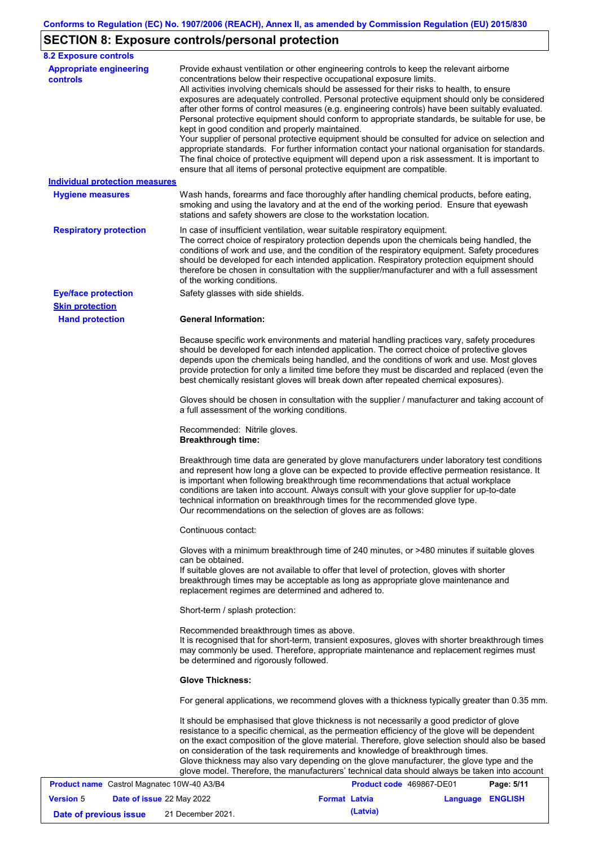## **SECTION 8: Exposure controls/personal protection**

| <b>8.2 Exposure controls</b>                      |                                                                                                                                                                                                                                                                                                                                                                                                                                                                                                                                                                                                                                                                                                                                                                                                                                                                                                                                                                                                         |                          |                  |            |  |
|---------------------------------------------------|---------------------------------------------------------------------------------------------------------------------------------------------------------------------------------------------------------------------------------------------------------------------------------------------------------------------------------------------------------------------------------------------------------------------------------------------------------------------------------------------------------------------------------------------------------------------------------------------------------------------------------------------------------------------------------------------------------------------------------------------------------------------------------------------------------------------------------------------------------------------------------------------------------------------------------------------------------------------------------------------------------|--------------------------|------------------|------------|--|
| <b>Appropriate engineering</b><br><b>controls</b> | Provide exhaust ventilation or other engineering controls to keep the relevant airborne<br>concentrations below their respective occupational exposure limits.<br>All activities involving chemicals should be assessed for their risks to health, to ensure<br>exposures are adequately controlled. Personal protective equipment should only be considered<br>after other forms of control measures (e.g. engineering controls) have been suitably evaluated.<br>Personal protective equipment should conform to appropriate standards, be suitable for use, be<br>kept in good condition and properly maintained.<br>Your supplier of personal protective equipment should be consulted for advice on selection and<br>appropriate standards. For further information contact your national organisation for standards.<br>The final choice of protective equipment will depend upon a risk assessment. It is important to<br>ensure that all items of personal protective equipment are compatible. |                          |                  |            |  |
| <b>Individual protection measures</b>             |                                                                                                                                                                                                                                                                                                                                                                                                                                                                                                                                                                                                                                                                                                                                                                                                                                                                                                                                                                                                         |                          |                  |            |  |
| <b>Hygiene measures</b>                           | Wash hands, forearms and face thoroughly after handling chemical products, before eating,<br>smoking and using the lavatory and at the end of the working period. Ensure that eyewash<br>stations and safety showers are close to the workstation location.                                                                                                                                                                                                                                                                                                                                                                                                                                                                                                                                                                                                                                                                                                                                             |                          |                  |            |  |
| <b>Respiratory protection</b>                     | In case of insufficient ventilation, wear suitable respiratory equipment.<br>The correct choice of respiratory protection depends upon the chemicals being handled, the<br>conditions of work and use, and the condition of the respiratory equipment. Safety procedures<br>should be developed for each intended application. Respiratory protection equipment should<br>therefore be chosen in consultation with the supplier/manufacturer and with a full assessment<br>of the working conditions.                                                                                                                                                                                                                                                                                                                                                                                                                                                                                                   |                          |                  |            |  |
| <b>Eye/face protection</b>                        | Safety glasses with side shields.                                                                                                                                                                                                                                                                                                                                                                                                                                                                                                                                                                                                                                                                                                                                                                                                                                                                                                                                                                       |                          |                  |            |  |
| <b>Skin protection</b>                            |                                                                                                                                                                                                                                                                                                                                                                                                                                                                                                                                                                                                                                                                                                                                                                                                                                                                                                                                                                                                         |                          |                  |            |  |
| <b>Hand protection</b>                            | <b>General Information:</b>                                                                                                                                                                                                                                                                                                                                                                                                                                                                                                                                                                                                                                                                                                                                                                                                                                                                                                                                                                             |                          |                  |            |  |
|                                                   | Because specific work environments and material handling practices vary, safety procedures<br>should be developed for each intended application. The correct choice of protective gloves<br>depends upon the chemicals being handled, and the conditions of work and use. Most gloves<br>provide protection for only a limited time before they must be discarded and replaced (even the<br>best chemically resistant gloves will break down after repeated chemical exposures).                                                                                                                                                                                                                                                                                                                                                                                                                                                                                                                        |                          |                  |            |  |
|                                                   | Gloves should be chosen in consultation with the supplier / manufacturer and taking account of<br>a full assessment of the working conditions.                                                                                                                                                                                                                                                                                                                                                                                                                                                                                                                                                                                                                                                                                                                                                                                                                                                          |                          |                  |            |  |
|                                                   | Recommended: Nitrile gloves.<br><b>Breakthrough time:</b>                                                                                                                                                                                                                                                                                                                                                                                                                                                                                                                                                                                                                                                                                                                                                                                                                                                                                                                                               |                          |                  |            |  |
|                                                   | Breakthrough time data are generated by glove manufacturers under laboratory test conditions<br>and represent how long a glove can be expected to provide effective permeation resistance. It<br>is important when following breakthrough time recommendations that actual workplace<br>conditions are taken into account. Always consult with your glove supplier for up-to-date<br>technical information on breakthrough times for the recommended glove type.<br>Our recommendations on the selection of gloves are as follows:                                                                                                                                                                                                                                                                                                                                                                                                                                                                      |                          |                  |            |  |
|                                                   | Continuous contact:                                                                                                                                                                                                                                                                                                                                                                                                                                                                                                                                                                                                                                                                                                                                                                                                                                                                                                                                                                                     |                          |                  |            |  |
|                                                   | Gloves with a minimum breakthrough time of 240 minutes, or >480 minutes if suitable gloves<br>can be obtained.<br>If suitable gloves are not available to offer that level of protection, gloves with shorter<br>breakthrough times may be acceptable as long as appropriate glove maintenance and<br>replacement regimes are determined and adhered to.                                                                                                                                                                                                                                                                                                                                                                                                                                                                                                                                                                                                                                                |                          |                  |            |  |
|                                                   | Short-term / splash protection:                                                                                                                                                                                                                                                                                                                                                                                                                                                                                                                                                                                                                                                                                                                                                                                                                                                                                                                                                                         |                          |                  |            |  |
|                                                   | Recommended breakthrough times as above.<br>It is recognised that for short-term, transient exposures, gloves with shorter breakthrough times<br>may commonly be used. Therefore, appropriate maintenance and replacement regimes must<br>be determined and rigorously followed.                                                                                                                                                                                                                                                                                                                                                                                                                                                                                                                                                                                                                                                                                                                        |                          |                  |            |  |
|                                                   | <b>Glove Thickness:</b>                                                                                                                                                                                                                                                                                                                                                                                                                                                                                                                                                                                                                                                                                                                                                                                                                                                                                                                                                                                 |                          |                  |            |  |
|                                                   | For general applications, we recommend gloves with a thickness typically greater than 0.35 mm.                                                                                                                                                                                                                                                                                                                                                                                                                                                                                                                                                                                                                                                                                                                                                                                                                                                                                                          |                          |                  |            |  |
|                                                   | It should be emphasised that glove thickness is not necessarily a good predictor of glove<br>resistance to a specific chemical, as the permeation efficiency of the glove will be dependent<br>on the exact composition of the glove material. Therefore, glove selection should also be based<br>on consideration of the task requirements and knowledge of breakthrough times.<br>Glove thickness may also vary depending on the glove manufacturer, the glove type and the<br>glove model. Therefore, the manufacturers' technical data should always be taken into account                                                                                                                                                                                                                                                                                                                                                                                                                          |                          |                  |            |  |
| <b>Product name</b> Castrol Magnatec 10W-40 A3/B4 |                                                                                                                                                                                                                                                                                                                                                                                                                                                                                                                                                                                                                                                                                                                                                                                                                                                                                                                                                                                                         | Product code 469867-DE01 |                  | Page: 5/11 |  |
| <b>Version 5</b><br>Date of issue 22 May 2022     |                                                                                                                                                                                                                                                                                                                                                                                                                                                                                                                                                                                                                                                                                                                                                                                                                                                                                                                                                                                                         | <b>Format Latvia</b>     | Language ENGLISH |            |  |

**Date of previous issue (Latvia)** 21 December 2021.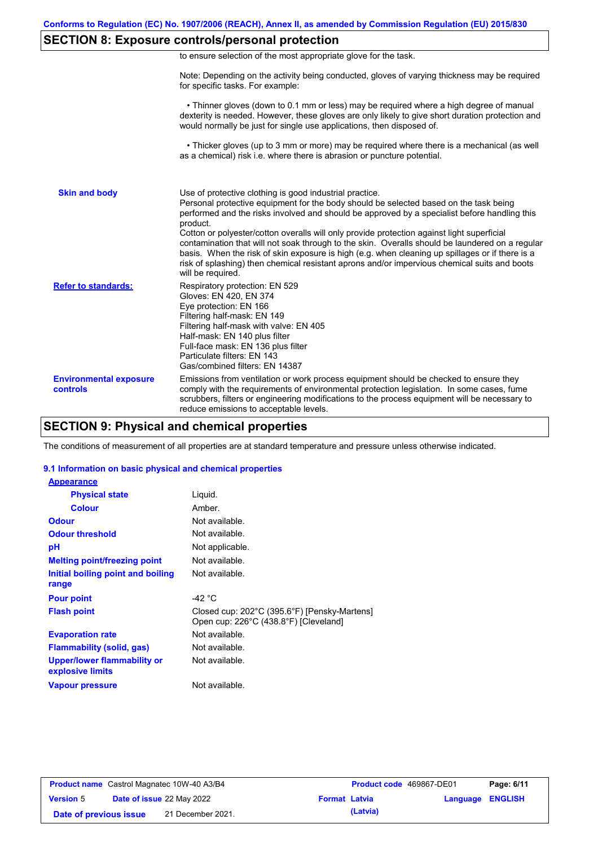## **SECTION 8: Exposure controls/personal protection**

| to ensure selection of the most appropriate glove for the task. |  |  |  |  |
|-----------------------------------------------------------------|--|--|--|--|
|                                                                 |  |  |  |  |

Note: Depending on the activity being conducted, gloves of varying thickness may be required for specific tasks. For example:

 • Thinner gloves (down to 0.1 mm or less) may be required where a high degree of manual dexterity is needed. However, these gloves are only likely to give short duration protection and would normally be just for single use applications, then disposed of.

 • Thicker gloves (up to 3 mm or more) may be required where there is a mechanical (as well as a chemical) risk i.e. where there is abrasion or puncture potential.

| <b>Skin and body</b>                             | Use of protective clothing is good industrial practice.<br>Personal protective equipment for the body should be selected based on the task being<br>performed and the risks involved and should be approved by a specialist before handling this<br>product.<br>Cotton or polyester/cotton overalls will only provide protection against light superficial<br>contamination that will not soak through to the skin. Overalls should be laundered on a regular<br>basis. When the risk of skin exposure is high (e.g. when cleaning up spillages or if there is a<br>risk of splashing) then chemical resistant aprons and/or impervious chemical suits and boots<br>will be required. |
|--------------------------------------------------|---------------------------------------------------------------------------------------------------------------------------------------------------------------------------------------------------------------------------------------------------------------------------------------------------------------------------------------------------------------------------------------------------------------------------------------------------------------------------------------------------------------------------------------------------------------------------------------------------------------------------------------------------------------------------------------|
| <b>Refer to standards:</b>                       | Respiratory protection: EN 529<br>Gloves: EN 420, EN 374<br>Eye protection: EN 166<br>Filtering half-mask: EN 149<br>Filtering half-mask with valve: EN 405<br>Half-mask: EN 140 plus filter<br>Full-face mask: EN 136 plus filter<br>Particulate filters: EN 143<br>Gas/combined filters: EN 14387                                                                                                                                                                                                                                                                                                                                                                                   |
| <b>Environmental exposure</b><br><b>controls</b> | Emissions from ventilation or work process equipment should be checked to ensure they<br>comply with the requirements of environmental protection legislation. In some cases, fume<br>scrubbers, filters or engineering modifications to the process equipment will be necessary to<br>reduce emissions to acceptable levels.                                                                                                                                                                                                                                                                                                                                                         |

## **SECTION 9: Physical and chemical properties**

The conditions of measurement of all properties are at standard temperature and pressure unless otherwise indicated.

#### **9.1 Information on basic physical and chemical properties**

| <b>Appearance</b>                                      |                                                                                       |
|--------------------------------------------------------|---------------------------------------------------------------------------------------|
| <b>Physical state</b>                                  | Liguid.                                                                               |
| <b>Colour</b>                                          | Amber.                                                                                |
| <b>Odour</b>                                           | Not available.                                                                        |
| <b>Odour threshold</b>                                 | Not available.                                                                        |
| рH                                                     | Not applicable.                                                                       |
| <b>Melting point/freezing point</b>                    | Not available.                                                                        |
| Initial boiling point and boiling<br>range             | Not available.                                                                        |
| <b>Pour point</b>                                      | -42 $^{\circ}$ C                                                                      |
| <b>Flash point</b>                                     | Closed cup: 202°C (395.6°F) [Pensky-Martens]<br>Open cup: 226°C (438.8°F) [Cleveland] |
| <b>Evaporation rate</b>                                | Not available.                                                                        |
| <b>Flammability (solid, gas)</b>                       | Not available.                                                                        |
| <b>Upper/lower flammability or</b><br>explosive limits | Not available.                                                                        |
| <b>Vapour pressure</b>                                 | Not available.                                                                        |

| <b>Product name</b> Castrol Magnatec 10W-40 A3/B4 |  |                                  | Product code 469867-DE01 |          | Page: 6/11              |  |
|---------------------------------------------------|--|----------------------------------|--------------------------|----------|-------------------------|--|
| <b>Version 5</b>                                  |  | <b>Date of issue 22 May 2022</b> | <b>Format Latvia</b>     |          | <b>Language ENGLISH</b> |  |
| Date of previous issue                            |  | 21 December 2021.                |                          | (Latvia) |                         |  |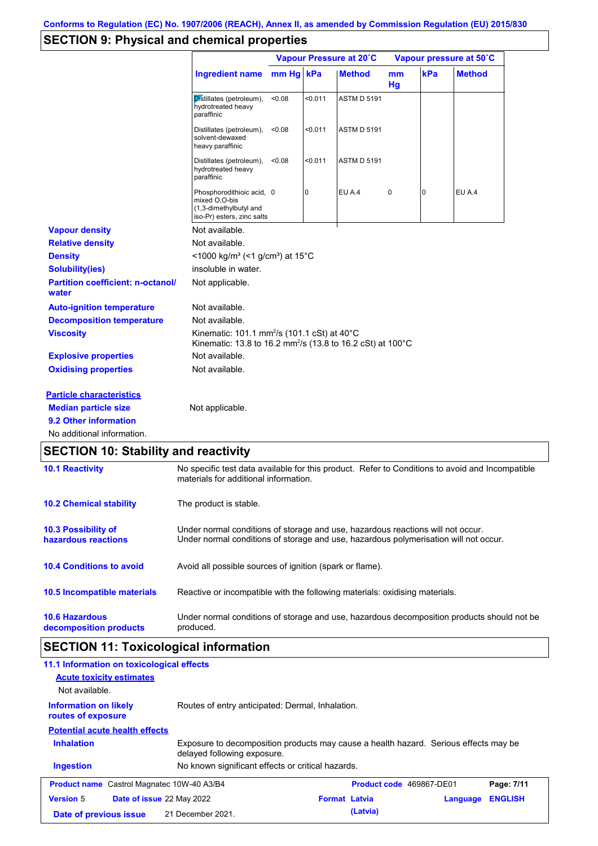# **SECTION 9: Physical and chemical properties**

|                                                   |                                                                                                                                             | Vapour Pressure at 20°C |         |                    | Vapour pressure at 50°C |          |               |
|---------------------------------------------------|---------------------------------------------------------------------------------------------------------------------------------------------|-------------------------|---------|--------------------|-------------------------|----------|---------------|
|                                                   | Ingredient name                                                                                                                             | $mm$ Hq                 | kPa     | <b>Method</b>      | m <sub>m</sub><br>Hg    | kPa      | <b>Method</b> |
|                                                   | Distillates (petroleum),<br>hydrotreated heavy<br>paraffinic                                                                                | < 0.08                  | < 0.011 | <b>ASTM D 5191</b> |                         |          |               |
|                                                   | Distillates (petroleum),<br>solvent-dewaxed<br>heavy paraffinic                                                                             | < 0.08                  | < 0.011 | <b>ASTM D 5191</b> |                         |          |               |
|                                                   | Distillates (petroleum),<br>hydrotreated heavy<br>paraffinic                                                                                | < 0.08                  | < 0.011 | <b>ASTM D 5191</b> |                         |          |               |
|                                                   | Phosphorodithioic acid, 0<br>mixed O,O-bis<br>(1,3-dimethylbutyl and<br>iso-Pr) esters, zinc salts                                          |                         | 0       | <b>EU A.4</b>      | 0                       | $\Omega$ | EU A.4        |
| <b>Vapour density</b>                             | Not available.                                                                                                                              |                         |         |                    |                         |          |               |
| <b>Relative density</b>                           | Not available.                                                                                                                              |                         |         |                    |                         |          |               |
| <b>Density</b>                                    | <1000 kg/m <sup>3</sup> (<1 g/cm <sup>3</sup> ) at 15 <sup>°</sup> C                                                                        |                         |         |                    |                         |          |               |
| <b>Solubility(ies)</b>                            | insoluble in water.                                                                                                                         |                         |         |                    |                         |          |               |
| <b>Partition coefficient: n-octanol/</b><br>water | Not applicable.                                                                                                                             |                         |         |                    |                         |          |               |
| <b>Auto-ignition temperature</b>                  | Not available.                                                                                                                              |                         |         |                    |                         |          |               |
| <b>Decomposition temperature</b>                  | Not available.                                                                                                                              |                         |         |                    |                         |          |               |
| <b>Viscosity</b>                                  | Kinematic: 101.1 mm <sup>2</sup> /s (101.1 cSt) at $40^{\circ}$ C<br>Kinematic: 13.8 to 16.2 mm <sup>2</sup> /s (13.8 to 16.2 cSt) at 100°C |                         |         |                    |                         |          |               |
| <b>Explosive properties</b>                       | Not available.                                                                                                                              |                         |         |                    |                         |          |               |
| <b>Oxidising properties</b>                       | Not available.                                                                                                                              |                         |         |                    |                         |          |               |
| <b>Particle characteristics</b>                   |                                                                                                                                             |                         |         |                    |                         |          |               |
| <b>Median particle size</b>                       | Not applicable.                                                                                                                             |                         |         |                    |                         |          |               |
| 9.2 Other information                             |                                                                                                                                             |                         |         |                    |                         |          |               |
| No additional information.                        |                                                                                                                                             |                         |         |                    |                         |          |               |
| <b>SECTION 10: Stability and reactivity</b>       |                                                                                                                                             |                         |         |                    |                         |          |               |
| <b>10.1 Reactivity</b>                            | No specific test data available for this product. Refer to Conditions to avoid and Incompatible                                             |                         |         |                    |                         |          |               |

| <b>10.1 Reactivity</b>                            | No specific test data available for this product. Refer to Conditions to avoid and Incompatible<br>materials for additional information.                                |
|---------------------------------------------------|-------------------------------------------------------------------------------------------------------------------------------------------------------------------------|
| <b>10.2 Chemical stability</b>                    | The product is stable.                                                                                                                                                  |
| <b>10.3 Possibility of</b><br>hazardous reactions | Under normal conditions of storage and use, hazardous reactions will not occur.<br>Under normal conditions of storage and use, hazardous polymerisation will not occur. |
| <b>10.4 Conditions to avoid</b>                   | Avoid all possible sources of ignition (spark or flame).                                                                                                                |
| <b>10.5 Incompatible materials</b>                | Reactive or incompatible with the following materials: oxidising materials.                                                                                             |
| <b>10.6 Hazardous</b><br>decomposition products   | Under normal conditions of storage and use, hazardous decomposition products should not be<br>produced.                                                                 |

# **SECTION 11: Toxicological information**

| 11.1 Information on toxicological effects<br><b>Acute toxicity estimates</b><br>Not available.                                           |                                                   |                          |          |                |  |
|------------------------------------------------------------------------------------------------------------------------------------------|---------------------------------------------------|--------------------------|----------|----------------|--|
| Routes of entry anticipated: Dermal, Inhalation.<br><b>Information on likely</b><br>routes of exposure                                   |                                                   |                          |          |                |  |
| <b>Potential acute health effects</b>                                                                                                    |                                                   |                          |          |                |  |
| <b>Inhalation</b><br>Exposure to decomposition products may cause a health hazard. Serious effects may be<br>delayed following exposure. |                                                   |                          |          |                |  |
| <b>Ingestion</b>                                                                                                                         | No known significant effects or critical hazards. |                          |          |                |  |
| <b>Product name</b> Castrol Magnatec 10W-40 A3/B4                                                                                        |                                                   | Product code 469867-DE01 |          | Page: 7/11     |  |
| <b>Version 5</b><br>Date of issue 22 May 2022                                                                                            |                                                   | <b>Format Latvia</b>     | Language | <b>ENGLISH</b> |  |
| Date of previous issue                                                                                                                   | 21 December 2021.                                 | (Latvia)                 |          |                |  |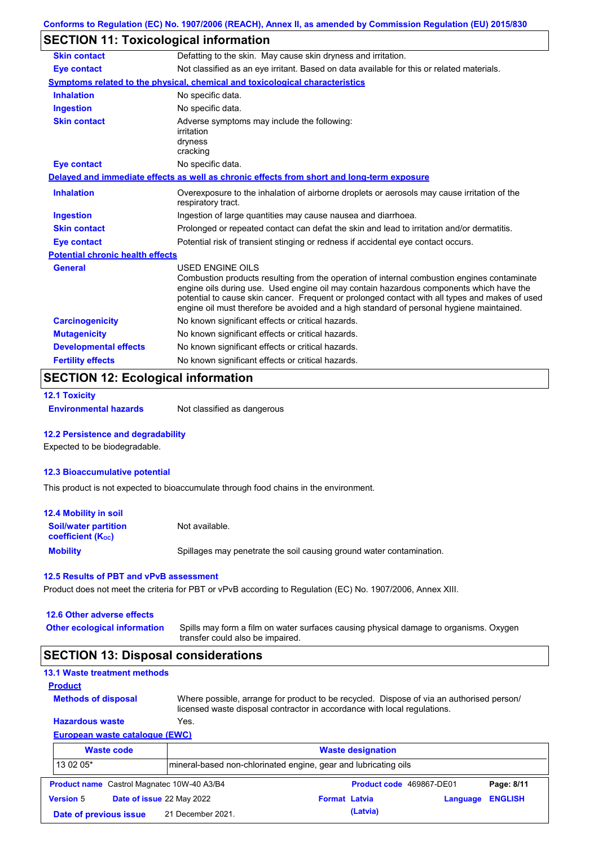## **SECTION 11: Toxicological information**

| <b>Skin contact</b>                     | Defatting to the skin. May cause skin dryness and irritation.                                                                                                                                                                                                                                                                                                                                                   |  |  |  |  |  |
|-----------------------------------------|-----------------------------------------------------------------------------------------------------------------------------------------------------------------------------------------------------------------------------------------------------------------------------------------------------------------------------------------------------------------------------------------------------------------|--|--|--|--|--|
| <b>Eye contact</b>                      | Not classified as an eye irritant. Based on data available for this or related materials.                                                                                                                                                                                                                                                                                                                       |  |  |  |  |  |
|                                         | Symptoms related to the physical, chemical and toxicological characteristics                                                                                                                                                                                                                                                                                                                                    |  |  |  |  |  |
| <b>Inhalation</b>                       | No specific data.                                                                                                                                                                                                                                                                                                                                                                                               |  |  |  |  |  |
| <b>Ingestion</b>                        | No specific data.                                                                                                                                                                                                                                                                                                                                                                                               |  |  |  |  |  |
| <b>Skin contact</b>                     | Adverse symptoms may include the following:<br>irritation<br>dryness                                                                                                                                                                                                                                                                                                                                            |  |  |  |  |  |
| <b>Eye contact</b>                      | cracking<br>No specific data.                                                                                                                                                                                                                                                                                                                                                                                   |  |  |  |  |  |
|                                         |                                                                                                                                                                                                                                                                                                                                                                                                                 |  |  |  |  |  |
|                                         | Delayed and immediate effects as well as chronic effects from short and long-term exposure                                                                                                                                                                                                                                                                                                                      |  |  |  |  |  |
| <b>Inhalation</b>                       | Overexposure to the inhalation of airborne droplets or aerosols may cause irritation of the<br>respiratory tract.                                                                                                                                                                                                                                                                                               |  |  |  |  |  |
| <b>Ingestion</b>                        | Ingestion of large quantities may cause nausea and diarrhoea.                                                                                                                                                                                                                                                                                                                                                   |  |  |  |  |  |
| <b>Skin contact</b>                     | Prolonged or repeated contact can defat the skin and lead to irritation and/or dermatitis.                                                                                                                                                                                                                                                                                                                      |  |  |  |  |  |
| <b>Eye contact</b>                      | Potential risk of transient stinging or redness if accidental eye contact occurs.                                                                                                                                                                                                                                                                                                                               |  |  |  |  |  |
| <b>Potential chronic health effects</b> |                                                                                                                                                                                                                                                                                                                                                                                                                 |  |  |  |  |  |
| <b>General</b>                          | <b>USED ENGINE OILS</b><br>Combustion products resulting from the operation of internal combustion engines contaminate<br>engine oils during use. Used engine oil may contain hazardous components which have the<br>potential to cause skin cancer. Frequent or prolonged contact with all types and makes of used<br>engine oil must therefore be avoided and a high standard of personal hygiene maintained. |  |  |  |  |  |
| <b>Carcinogenicity</b>                  | No known significant effects or critical hazards.                                                                                                                                                                                                                                                                                                                                                               |  |  |  |  |  |
| <b>Mutagenicity</b>                     | No known significant effects or critical hazards.                                                                                                                                                                                                                                                                                                                                                               |  |  |  |  |  |
| <b>Developmental effects</b>            | No known significant effects or critical hazards.                                                                                                                                                                                                                                                                                                                                                               |  |  |  |  |  |
| <b>Fertility effects</b>                | No known significant effects or critical hazards.                                                                                                                                                                                                                                                                                                                                                               |  |  |  |  |  |
|                                         |                                                                                                                                                                                                                                                                                                                                                                                                                 |  |  |  |  |  |

## **SECTION 12: Ecological information**

```
12.1 Toxicity
```
**Environmental hazards** Not classified as dangerous

#### **12.2 Persistence and degradability**

Expected to be biodegradable.

#### **12.3 Bioaccumulative potential**

This product is not expected to bioaccumulate through food chains in the environment.

| <b>12.4 Mobility in soil</b>                                  |                                                                      |
|---------------------------------------------------------------|----------------------------------------------------------------------|
| <b>Soil/water partition</b><br>coefficient (K <sub>oc</sub> ) | Not available.                                                       |
| <b>Mobility</b>                                               | Spillages may penetrate the soil causing ground water contamination. |

#### **12.5 Results of PBT and vPvB assessment**

Product does not meet the criteria for PBT or vPvB according to Regulation (EC) No. 1907/2006, Annex XIII.

#### **12.6 Other adverse effects**

**Other ecological information**

Spills may form a film on water surfaces causing physical damage to organisms. Oxygen transfer could also be impaired.

### **SECTION 13: Disposal considerations**

#### **13.1 Waste treatment methods**

**Methods of disposal**

**Product**

Where possible, arrange for product to be recycled. Dispose of via an authorised person/ licensed waste disposal contractor in accordance with local regulations.

#### **European waste catalogue (EWC) Hazardous waste** Yes.

| <b>Waste code</b>                                                            |                                                   |                   | <b>Waste designation</b> |          |                          |                |  |
|------------------------------------------------------------------------------|---------------------------------------------------|-------------------|--------------------------|----------|--------------------------|----------------|--|
| 13 02 05*<br>mineral-based non-chlorinated engine, gear and lubricating oils |                                                   |                   |                          |          |                          |                |  |
|                                                                              | <b>Product name</b> Castrol Magnatec 10W-40 A3/B4 |                   |                          |          | Product code 469867-DE01 | Page: 8/11     |  |
| <b>Version 5</b>                                                             | Date of issue 22 May 2022                         |                   | <b>Format Latvia</b>     |          | Language                 | <b>ENGLISH</b> |  |
|                                                                              | Date of previous issue                            | 21 December 2021. |                          | (Latvia) |                          |                |  |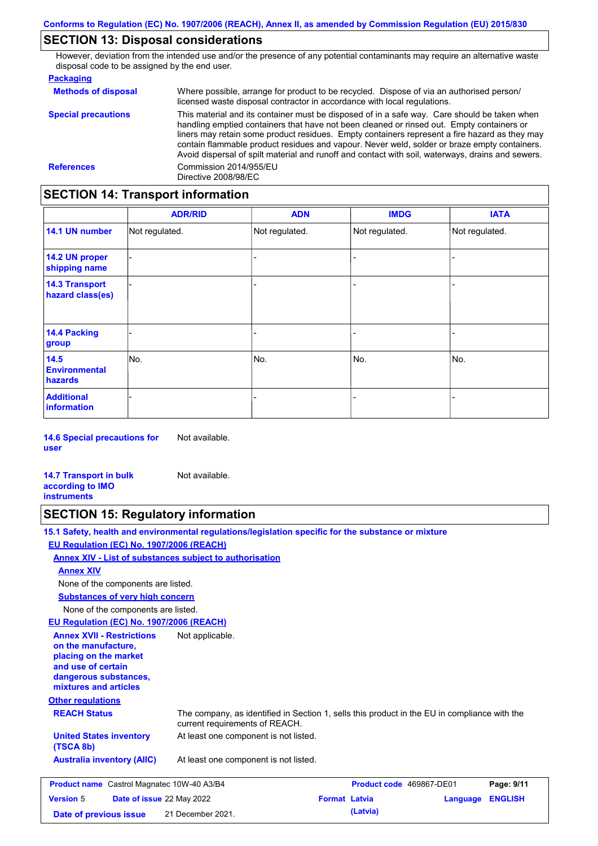## **SECTION 13: Disposal considerations**

However, deviation from the intended use and/or the presence of any potential contaminants may require an alternative waste disposal code to be assigned by the end user.

| <b>Packaging</b>           |                                                                                                                                                                                                                                                                                                                                                                                                                                                                                                 |
|----------------------------|-------------------------------------------------------------------------------------------------------------------------------------------------------------------------------------------------------------------------------------------------------------------------------------------------------------------------------------------------------------------------------------------------------------------------------------------------------------------------------------------------|
| <b>Methods of disposal</b> | Where possible, arrange for product to be recycled. Dispose of via an authorised person/<br>licensed waste disposal contractor in accordance with local regulations.                                                                                                                                                                                                                                                                                                                            |
| <b>Special precautions</b> | This material and its container must be disposed of in a safe way. Care should be taken when<br>handling emptied containers that have not been cleaned or rinsed out. Empty containers or<br>liners may retain some product residues. Empty containers represent a fire hazard as they may<br>contain flammable product residues and vapour. Never weld, solder or braze empty containers.<br>Avoid dispersal of spilt material and runoff and contact with soil, waterways, drains and sewers. |
| <b>References</b>          | Commission 2014/955/EU<br>Directive 2008/98/EC                                                                                                                                                                                                                                                                                                                                                                                                                                                  |

# **SECTION 14: Transport information**

|                                           | <b>ADR/RID</b> | <b>ADN</b>     | <b>IMDG</b>    | <b>IATA</b>    |  |  |  |
|-------------------------------------------|----------------|----------------|----------------|----------------|--|--|--|
| 14.1 UN number                            | Not regulated. | Not regulated. | Not regulated. | Not regulated. |  |  |  |
| 14.2 UN proper<br>shipping name           |                |                |                |                |  |  |  |
| <b>14.3 Transport</b><br>hazard class(es) |                |                |                |                |  |  |  |
| <b>14.4 Packing</b><br>group              |                |                |                |                |  |  |  |
| 14.5<br><b>Environmental</b><br>hazards   | No.            | No.            | No.            | No.            |  |  |  |
| <b>Additional</b><br>information          |                |                |                |                |  |  |  |

**14.6 Special precautions for user** Not available.

**14.7 Transport in bulk according to IMO instruments** Not available.

### **SECTION 15: Regulatory information**

**15.1 Safety, health and environmental regulations/legislation specific for the substance or mixture EU Regulation (EC) No. 1907/2006 (REACH)**

**Annex XIV - List of substances subject to authorisation**

**Annex XIV**

None of the components are listed.

**Substances of very high concern**

None of the components are listed.

**EU Regulation (EC) No. 1907/2006 (REACH)**

| <b>Annex XVII - Restrictions</b><br>on the manufacture.<br>placing on the market<br>and use of certain<br>dangerous substances,<br>mixtures and articles | Not applicable.                                                                                                                |                          |          |                |  |
|----------------------------------------------------------------------------------------------------------------------------------------------------------|--------------------------------------------------------------------------------------------------------------------------------|--------------------------|----------|----------------|--|
| <b>Other regulations</b>                                                                                                                                 |                                                                                                                                |                          |          |                |  |
| <b>REACH Status</b>                                                                                                                                      | The company, as identified in Section 1, sells this product in the EU in compliance with the<br>current requirements of REACH. |                          |          |                |  |
| <b>United States inventory</b><br>(TSCA 8b)                                                                                                              | At least one component is not listed.                                                                                          |                          |          |                |  |
| <b>Australia inventory (AIIC)</b>                                                                                                                        | At least one component is not listed.                                                                                          |                          |          |                |  |
| <b>Product name</b> Castrol Magnatec 10W-40 A3/B4                                                                                                        |                                                                                                                                | Product code 469867-DE01 |          | Page: 9/11     |  |
| <b>Date of issue 22 May 2022</b><br><b>Version 5</b>                                                                                                     |                                                                                                                                | <b>Format Latvia</b>     | Language | <b>ENGLISH</b> |  |

| <b>Version 5</b>       | Date of issue 22 May 2022 | <b>Format Latvia</b> | <b>Language ENGLISH</b> |
|------------------------|---------------------------|----------------------|-------------------------|
| Date of previous issue | 21 December 2021.         | (Latvia)             |                         |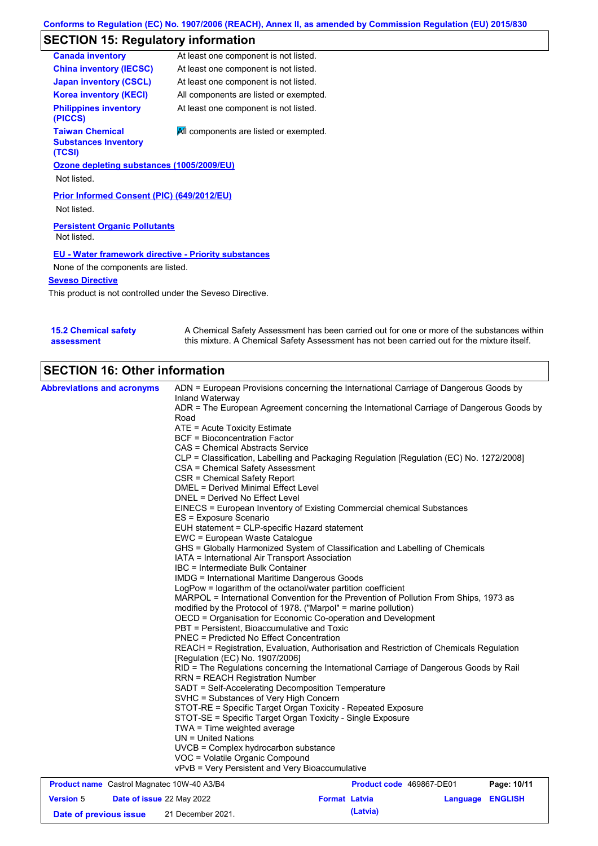## **SECTION 15: Regulatory information**

| <b>Canada inventory</b>                                         | At least one component is not listed.  |
|-----------------------------------------------------------------|----------------------------------------|
| <b>China inventory (IECSC)</b>                                  | At least one component is not listed.  |
| <b>Japan inventory (CSCL)</b>                                   | At least one component is not listed.  |
| <b>Korea inventory (KECI)</b>                                   | All components are listed or exempted. |
| <b>Philippines inventory</b><br>(PICCS)                         | At least one component is not listed.  |
| <b>Taiwan Chemical</b><br><b>Substances Inventory</b><br>(TCSI) | All components are listed or exempted. |
| Ozone depleting substances (1005/2009/EU)                       |                                        |
| Not listed.                                                     |                                        |
| Prior Informed Consent (PIC) (649/2012/EU)                      |                                        |
| Not listed.                                                     |                                        |
| <b>Persistent Organic Pollutants</b><br>Not listed.             |                                        |
| <b>EU - Water framework directive - Priority substances</b>     |                                        |
| None of the components are listed.                              |                                        |
| <b>Seveso Directive</b>                                         |                                        |

This product is not controlled under the Seveso Directive.

| <b>15.2 Chemical safety</b> | A Chemical Safety Assessment has been carried out for one or more of the substances within  |
|-----------------------------|---------------------------------------------------------------------------------------------|
| assessment                  | this mixture. A Chemical Safety Assessment has not been carried out for the mixture itself. |

# **SECTION 16: Other information**

| <b>Abbreviations and acronyms</b>                 | ADN = European Provisions concerning the International Carriage of Dangerous Goods by                                                                                                                                                                                                                                  |                          |  |             |  |
|---------------------------------------------------|------------------------------------------------------------------------------------------------------------------------------------------------------------------------------------------------------------------------------------------------------------------------------------------------------------------------|--------------------------|--|-------------|--|
|                                                   | Inland Waterway<br>ADR = The European Agreement concerning the International Carriage of Dangerous Goods by                                                                                                                                                                                                            |                          |  |             |  |
|                                                   | Road                                                                                                                                                                                                                                                                                                                   |                          |  |             |  |
|                                                   | ATE = Acute Toxicity Estimate                                                                                                                                                                                                                                                                                          |                          |  |             |  |
|                                                   | <b>BCF</b> = Bioconcentration Factor                                                                                                                                                                                                                                                                                   |                          |  |             |  |
|                                                   | CAS = Chemical Abstracts Service<br>CLP = Classification, Labelling and Packaging Regulation [Regulation (EC) No. 1272/2008]                                                                                                                                                                                           |                          |  |             |  |
|                                                   |                                                                                                                                                                                                                                                                                                                        |                          |  |             |  |
|                                                   | CSA = Chemical Safety Assessment                                                                                                                                                                                                                                                                                       |                          |  |             |  |
|                                                   | CSR = Chemical Safety Report                                                                                                                                                                                                                                                                                           |                          |  |             |  |
|                                                   | <b>DMEL = Derived Minimal Effect Level</b>                                                                                                                                                                                                                                                                             |                          |  |             |  |
|                                                   | DNEL = Derived No Effect Level                                                                                                                                                                                                                                                                                         |                          |  |             |  |
|                                                   | EINECS = European Inventory of Existing Commercial chemical Substances<br>ES = Exposure Scenario                                                                                                                                                                                                                       |                          |  |             |  |
|                                                   | EUH statement = CLP-specific Hazard statement                                                                                                                                                                                                                                                                          |                          |  |             |  |
|                                                   | EWC = European Waste Catalogue                                                                                                                                                                                                                                                                                         |                          |  |             |  |
|                                                   | GHS = Globally Harmonized System of Classification and Labelling of Chemicals                                                                                                                                                                                                                                          |                          |  |             |  |
|                                                   | IATA = International Air Transport Association                                                                                                                                                                                                                                                                         |                          |  |             |  |
|                                                   | IBC = Intermediate Bulk Container<br><b>IMDG = International Maritime Dangerous Goods</b><br>LogPow = logarithm of the octanol/water partition coefficient                                                                                                                                                             |                          |  |             |  |
|                                                   |                                                                                                                                                                                                                                                                                                                        |                          |  |             |  |
|                                                   |                                                                                                                                                                                                                                                                                                                        |                          |  |             |  |
|                                                   | MARPOL = International Convention for the Prevention of Pollution From Ships, 1973 as                                                                                                                                                                                                                                  |                          |  |             |  |
|                                                   | modified by the Protocol of 1978. ("Marpol" = marine pollution)<br>OECD = Organisation for Economic Co-operation and Development                                                                                                                                                                                       |                          |  |             |  |
|                                                   |                                                                                                                                                                                                                                                                                                                        |                          |  |             |  |
|                                                   | PBT = Persistent, Bioaccumulative and Toxic<br><b>PNEC</b> = Predicted No Effect Concentration<br>REACH = Registration, Evaluation, Authorisation and Restriction of Chemicals Regulation<br>[Regulation (EC) No. 1907/2006]<br>RID = The Regulations concerning the International Carriage of Dangerous Goods by Rail |                          |  |             |  |
|                                                   |                                                                                                                                                                                                                                                                                                                        |                          |  |             |  |
|                                                   |                                                                                                                                                                                                                                                                                                                        |                          |  |             |  |
|                                                   |                                                                                                                                                                                                                                                                                                                        |                          |  |             |  |
|                                                   | <b>RRN = REACH Registration Number</b><br>SADT = Self-Accelerating Decomposition Temperature<br>SVHC = Substances of Very High Concern                                                                                                                                                                                 |                          |  |             |  |
|                                                   |                                                                                                                                                                                                                                                                                                                        |                          |  |             |  |
|                                                   |                                                                                                                                                                                                                                                                                                                        |                          |  |             |  |
|                                                   | STOT-RE = Specific Target Organ Toxicity - Repeated Exposure<br>STOT-SE = Specific Target Organ Toxicity - Single Exposure<br>$TWA = Time$ weighted average<br>$UN = United Nations$                                                                                                                                   |                          |  |             |  |
|                                                   |                                                                                                                                                                                                                                                                                                                        |                          |  |             |  |
|                                                   |                                                                                                                                                                                                                                                                                                                        |                          |  |             |  |
|                                                   | UVCB = Complex hydrocarbon substance                                                                                                                                                                                                                                                                                   |                          |  |             |  |
|                                                   |                                                                                                                                                                                                                                                                                                                        |                          |  |             |  |
|                                                   |                                                                                                                                                                                                                                                                                                                        |                          |  |             |  |
|                                                   | VOC = Volatile Organic Compound<br>vPvB = Very Persistent and Very Bioaccumulative                                                                                                                                                                                                                                     |                          |  |             |  |
| <b>Product name</b> Castrol Magnatec 10W-40 A3/B4 |                                                                                                                                                                                                                                                                                                                        | Product code 469867-DE01 |  | Page: 10/11 |  |

**Date of previous issue (Latvia)** 21 December 2021.